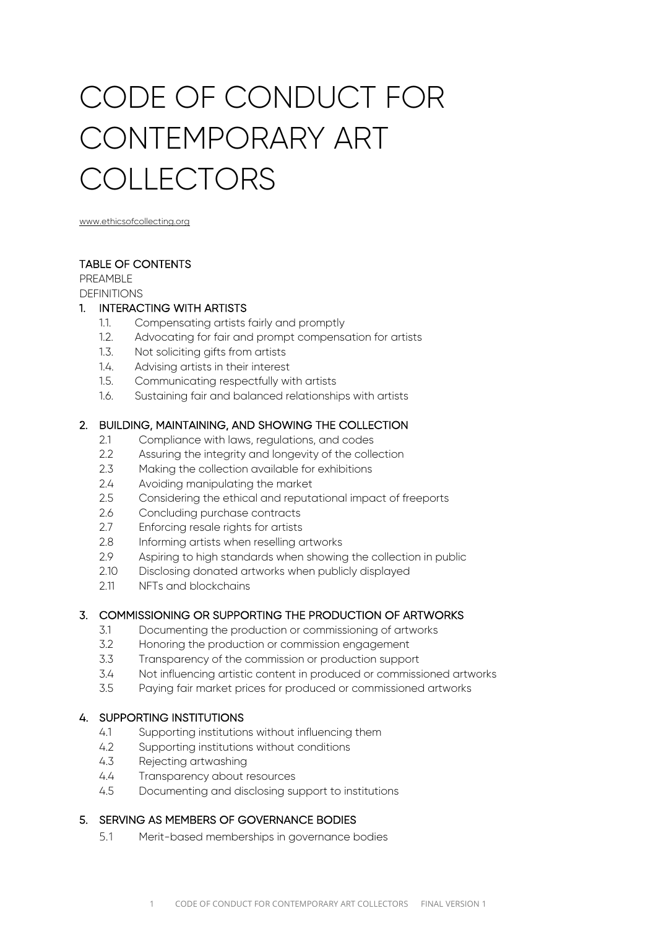# CODE OF CONDUCT FOR CONTEMPORARY ART COLLECTORS

www.ethicsofcollecting.org

# TABLE OF CONTENTS

PREAMBLE **DEFINITIONS** 

#### 1. INTERACTING WITH ARTISTS

- 1.1. Compensating artists fairly and promptly
- 1.2. Advocating for fair and prompt compensation for artists
- 1.3. Not soliciting gifts from artists
- 1.4. Advising artists in their interest
- 1.5. Communicating respectfully with artists
- 1.6. Sustaining fair and balanced relationships with artists

# 2. BUILDING, MAINTAINING, AND SHOWING THE COLLECTION

- 2.1 Compliance with laws, regulations, and codes
- 2.2 Assuring the integrity and longevity of the collection
- 2.3 Making the collection available for exhibitions
- 2.4 Avoiding manipulating the market
- 2.5 Considering the ethical and reputational impact of freeports
- 2.6 Concluding purchase contracts
- 2.7 Enforcing resale rights for artists
- 2.8 Informing artists when reselling artworks
- 2.9 Aspiring to high standards when showing the collection in public
- 2.10 Disclosing donated artworks when publicly displayed
- 2.11 NFTs and blockchains

# 3. COMMISSIONING OR SUPPORTING THE PRODUCTION OF ARTWORKS

- 3.1 Documenting the production or commissioning of artworks
- 3.2 Honoring the production or commission engagement
- 3.3 Transparency of the commission or production support
- 3.4 Not influencing artistic content in produced or commissioned artworks
- 3.5 Paying fair market prices for produced or commissioned artworks

# 4. SUPPORTING INSTITUTIONS

- 4.1 Supporting institutions without influencing them
- 4.2 Supporting institutions without conditions
- 4.3 Rejecting artwashing
- 4.4 Transparency about resources
- 4.5 Documenting and disclosing support to institutions

# 5. SERVING AS MEMBERS OF GOVERNANCE BODIES

5.1 Merit-based memberships in governance bodies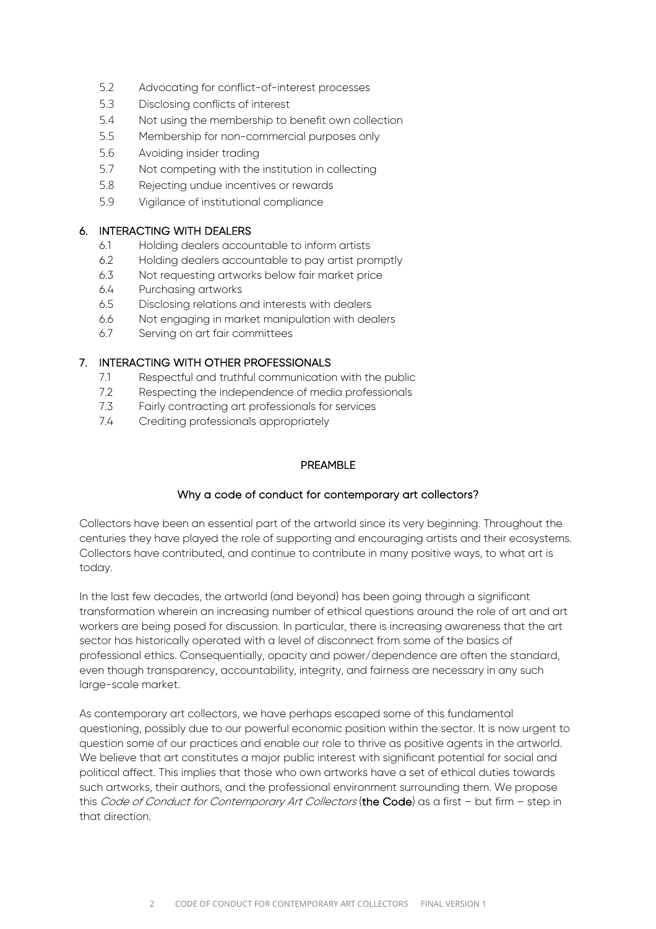- 5.2 Advocating for conflict-of-interest processes
- 5.3 Disclosing conflicts of interest
- 5.4 Not using the membership to benefit own collection
- 5.5 Membership for non-commercial purposes only
- 5.6 Avoiding insider trading
- 5.7 Not competing with the institution in collecting
- 5.8 Rejecting undue incentives or rewards
- 5.9 Vigilance of institutional compliance

#### 6. INTERACTING WITH DEALERS

- 6.1 Holding dealers accountable to inform artists
- 6.2 Holding dealers accountable to pay artist promptly
- 6.3 Not requesting artworks below fair market price
- 6.4 Purchasing artworks
- 6.5 Disclosing relations and interests with dealers
- 6.6 Not engaging in market manipulation with dealers
- 6.7 Serving on art fair committees

# 7. INTERACTING WITH OTHER PROFESSIONALS

- 7.1 Respectful and truthful communication with the public
- 7.2 Respecting the independence of media professionals
- 7.3 Fairly contracting art professionals for services
- 7.4 Crediting professionals appropriately

# PREAMBLE

# Why a code of conduct for contemporary art collectors?

Collectors have been an essential part of the artworld since its very beginning. Throughout the centuries they have played the role of supporting and encouraging artists and their ecosystems. Collectors have contributed, and continue to contribute in many positive ways, to what art is today.

In the last few decades, the artworld (and beyond) has been going through a significant transformation wherein an increasing number of ethical questions around the role of art and art workers are being posed for discussion. In particular, there is increasing awareness that the art sector has historically operated with a level of disconnect from some of the basics of professional ethics. Consequentially, opacity and power/dependence are often the standard, even though transparency, accountability, integrity, and fairness are necessary in any such large-scale market.

As contemporary art collectors, we have perhaps escaped some of this fundamental questioning, possibly due to our powerful economic position within the sector. It is now urgent to question some of our practices and enable our role to thrive as positive agents in the artworld. We believe that art constitutes a major public interest with significant potential for social and political affect. This implies that those who own artworks have a set of ethical duties towards such artworks, their authors, and the professional environment surrounding them. We propose this Code of Conduct for Contemporary Art Collectors (the Code) as a first - but firm - step in that direction.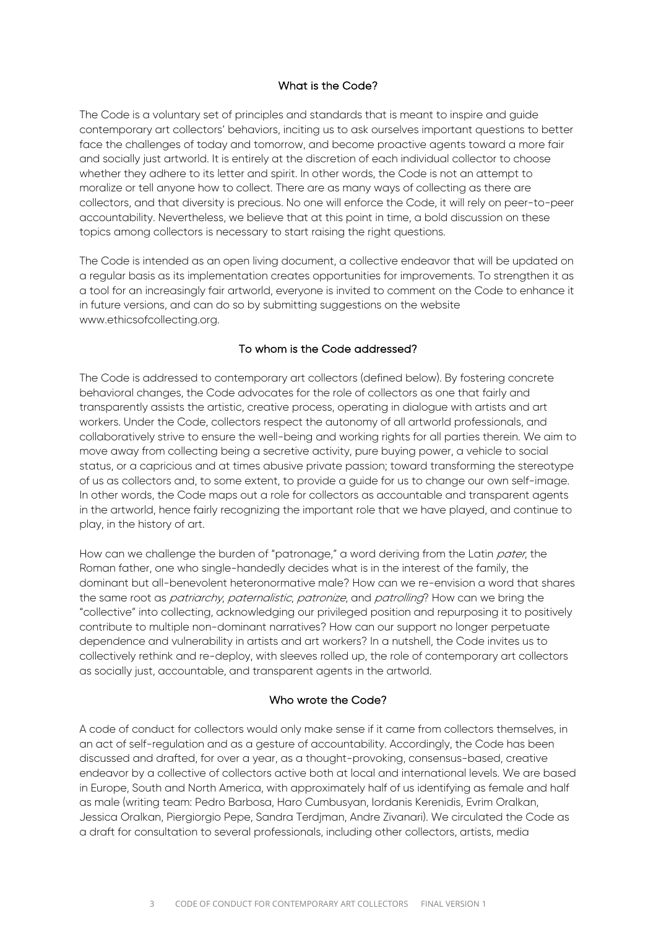#### What is the Code?

The Code is a voluntary set of principles and standards that is meant to inspire and guide contemporary art collectors' behaviors, inciting us to ask ourselves important questions to better face the challenges of today and tomorrow, and become proactive agents toward a more fair and socially just artworld. It is entirely at the discretion of each individual collector to choose whether they adhere to its letter and spirit. In other words, the Code is not an attempt to moralize or tell anyone how to collect. There are as many ways of collecting as there are collectors, and that diversity is precious. No one will enforce the Code, it will rely on peer-to-peer accountability. Nevertheless, we believe that at this point in time, a bold discussion on these topics among collectors is necessary to start raising the right questions.

The Code is intended as an open living document, a collective endeavor that will be updated on a regular basis as its implementation creates opportunities for improvements. To strengthen it as a tool for an increasingly fair artworld, everyone is invited to comment on the Code to enhance it in future versions, and can do so by submitting suggestions on the website www.ethicsofcollecting.org.

#### To whom is the Code addressed?

The Code is addressed to contemporary art collectors (defined below). By fostering concrete behavioral changes, the Code advocates for the role of collectors as one that fairly and transparently assists the artistic, creative process, operating in dialogue with artists and art workers. Under the Code, collectors respect the autonomy of all artworld professionals, and collaboratively strive to ensure the well-being and working rights for all parties therein. We aim to move away from collecting being a secretive activity, pure buying power, a vehicle to social status, or a capricious and at times abusive private passion; toward transforming the stereotype of us as collectors and, to some extent, to provide a quide for us to change our own self-image. In other words, the Code maps out a role for collectors as accountable and transparent agents in the artworld, hence fairly recognizing the important role that we have played, and continue to play, in the history of art.

How can we challenge the burden of "patronage," a word deriving from the Latin pater, the Roman father, one who single-handedly decides what is in the interest of the family, the dominant but all-benevolent heteronormative male? How can we re-envision a word that shares the same root as *patriarchy, paternalistic, patronize*, and *patrolling*? How can we bring the "collective" into collecting, acknowledging our privileged position and repurposing it to positively contribute to multiple non-dominant narratives? How can our support no longer perpetuate dependence and vulnerability in artists and art workers? In a nutshell, the Code invites us to collectively rethink and re-deploy, with sleeves rolled up, the role of contemporary art collectors as socially just, accountable, and transparent agents in the artworld.

#### Who wrote the Code?

A code of conduct for collectors would only make sense if it came from collectors themselves, in an act of self-regulation and as a gesture of accountability. Accordingly, the Code has been discussed and drafted, for over a year, as a thought-provoking, consensus-based, creative endeavor by a collective of collectors active both at local and international levels. We are based in Europe, South and North America, with approximately half of us identifying as female and half as male (writing team: Pedro Barbosa, Haro Cumbusyan, Iordanis Kerenidis, Evrim Oralkan, Jessica Oralkan, Piergiorgio Pepe, Sandra Terdjman, Andre Zivanari). We circulated the Code as a draft for consultation to several professionals, including other collectors, artists, media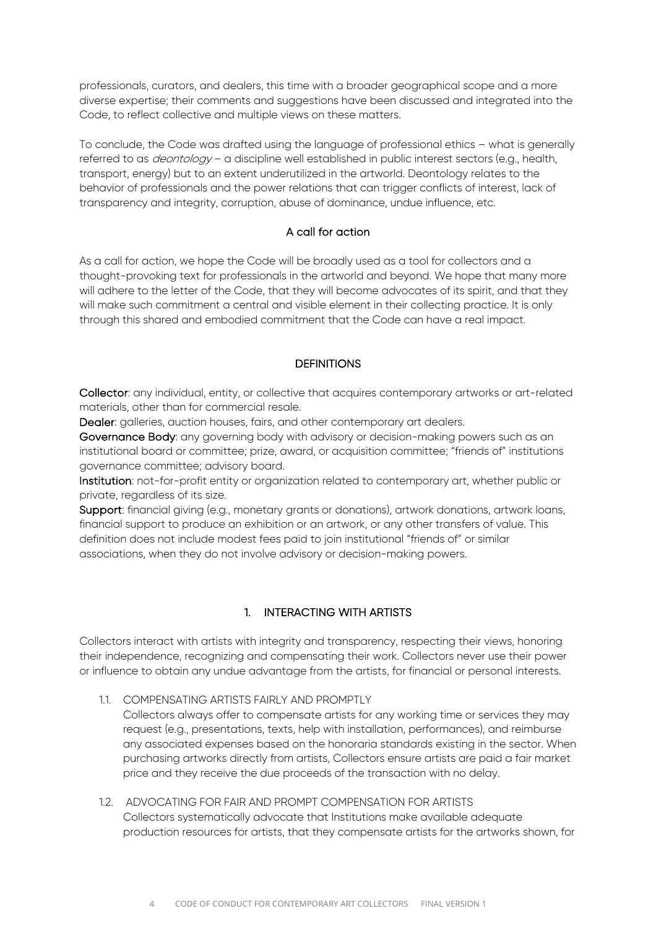professionals, curators, and dealers, this time with a broader geographical scope and a more diverse expertise; their comments and suggestions have been discussed and integrated into the Code, to reflect collective and multiple views on these matters.

To conclude, the Code was drafted using the language of professional ethics – what is generally referred to as *deontology* – a discipline well established in public interest sectors (e.g., health, transport, energy) but to an extent underutilized in the artworld. Deontology relates to the behavior of professionals and the power relations that can trigger conflicts of interest, lack of transparency and integrity, corruption, abuse of dominance, undue influence, etc.

#### A call for action

As a call for action, we hope the Code will be broadly used as a tool for collectors and a thought-provoking text for professionals in the artworld and beyond. We hope that many more will adhere to the letter of the Code, that they will become advocates of its spirit, and that they will make such commitment a central and visible element in their collecting practice. It is only through this shared and embodied commitment that the Code can have a real impact.

#### **DEFINITIONS**

Collector: any individual, entity, or collective that acquires contemporary artworks or art-related materials, other than for commercial resale.

Dealer: galleries, auction houses, fairs, and other contemporary art dealers.

Governance Body: any governing body with advisory or decision-making powers such as an institutional board or committee; prize, award, or acquisition committee; "friends of" institutions governance committee; advisory board.

Institution: not-for-profit entity or organization related to contemporary art, whether public or private, regardless of its size.

Support: financial giving (e.g., monetary grants or donations), artwork donations, artwork loans, financial support to produce an exhibition or an artwork, or any other transfers of value. This definition does not include modest fees paid to join institutional "friends of" or similar associations, when they do not involve advisory or decision-making powers.

# 1. INTERACTING WITH ARTISTS

Collectors interact with artists with integrity and transparency, respecting their views, honoring their independence, recognizing and compensating their work. Collectors never use their power or influence to obtain any undue advantage from the artists, for financial or personal interests.

- 1.1. COMPENSATING ARTISTS FAIRLY AND PROMPTLY
	- Collectors always offer to compensate artists for any working time or services they may request (e.g., presentations, texts, help with installation, performances), and reimburse any associated expenses based on the honoraria standards existing in the sector. When purchasing artworks directly from artists, Collectors ensure artists are paid a fair market price and they receive the due proceeds of the transaction with no delay.
- 1.2. ADVOCATING FOR FAIR AND PROMPT COMPENSATION FOR ARTISTS Collectors systematically advocate that Institutions make available adequate production resources for artists, that they compensate artists for the artworks shown, for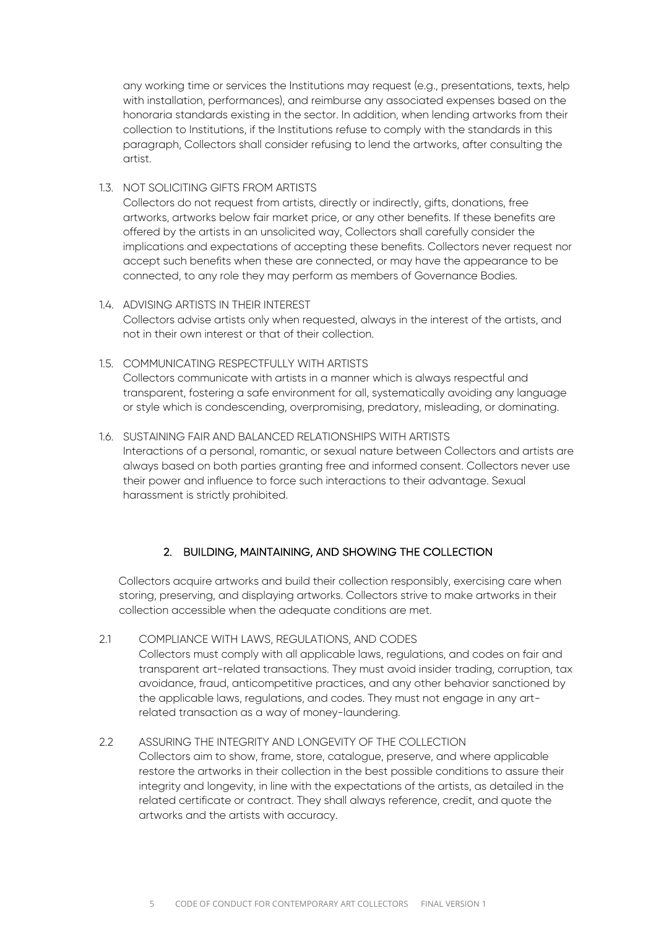any working time or services the Institutions may request (e.g., presentations, texts, help with installation, performances), and reimburse any associated expenses based on the honoraria standards existing in the sector. In addition, when lending artworks from their collection to Institutions, if the Institutions refuse to comply with the standards in this paragraph, Collectors shall consider refusing to lend the artworks, after consulting the artist.

# 1.3. NOT SOLICITING GIFTS FROM ARTISTS

Collectors do not request from artists, directly or indirectly, gifts, donations, free artworks, artworks below fair market price, or any other benefits. If these benefits are offered by the artists in an unsolicited way, Collectors shall carefully consider the implications and expectations of accepting these benefits. Collectors never request nor accept such benefits when these are connected, or may have the appearance to be connected, to any role they may perform as members of Governance Bodies.

#### 1.4. ADVISING ARTISTS IN THEIR INTEREST

Collectors advise artists only when requested, always in the interest of the artists, and not in their own interest or that of their collection.

#### 1.5. COMMUNICATING RESPECTFULLY WITH ARTISTS

Collectors communicate with artists in a manner which is always respectful and transparent, fostering a safe environment for all, systematically avoiding any language or style which is condescending, overpromising, predatory, misleading, or dominating.

#### 1.6. SUSTAINING FAIR AND BALANCED RELATIONSHIPS WITH ARTISTS

Interactions of a personal, romantic, or sexual nature between Collectors and artists are always based on both parties granting free and informed consent. Collectors never use their power and influence to force such interactions to their advantage. Sexual harassment is strictly prohibited.

# 2. BUILDING, MAINTAINING, AND SHOWING THE COLLECTION

Collectors acquire artworks and build their collection responsibly, exercising care when storing, preserving, and displaying artworks. Collectors strive to make artworks in their collection accessible when the adequate conditions are met.

2.1 COMPLIANCE WITH LAWS, REGULATIONS, AND CODES Collectors must comply with all applicable laws, regulations, and codes on fair and transparent art-related transactions. They must avoid insider trading, corruption, tax avoidance, fraud, anticompetitive practices, and any other behavior sanctioned by the applicable laws, regulations, and codes. They must not engage in any artrelated transaction as a way of money-laundering.

#### 2.2 ASSURING THE INTEGRITY AND LONGEVITY OF THE COLLECTION Collectors aim to show, frame, store, catalogue, preserve, and where applicable restore the artworks in their collection in the best possible conditions to assure their integrity and longevity, in line with the expectations of the artists, as detailed in the related certificate or contract. They shall always reference, credit, and quote the

artworks and the artists with accuracy.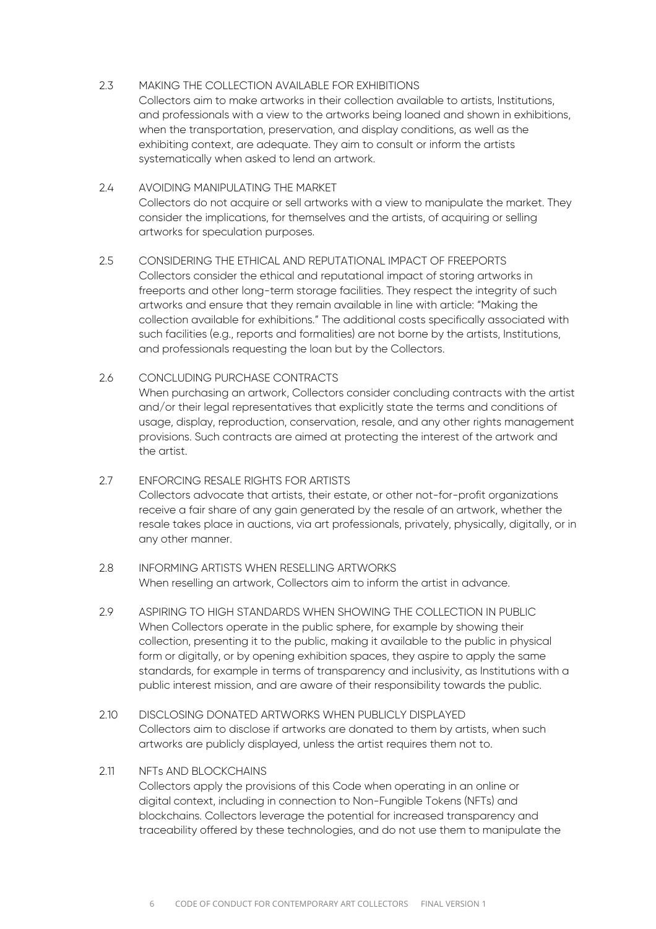# 2.3 MAKING THE COLLECTION AVAILABLE FOR EXHIBITIONS

Collectors aim to make artworks in their collection available to artists, Institutions, and professionals with a view to the artworks being loaned and shown in exhibitions, when the transportation, preservation, and display conditions, as well as the exhibiting context, are adequate. They aim to consult or inform the artists systematically when asked to lend an artwork.

#### 2.4 AVOIDING MANIPULATING THE MARKET Collectors do not acquire or sell artworks with a view to manipulate the market. They consider the implications, for themselves and the artists, of acquiring or selling artworks for speculation purposes.

# 2.5 CONSIDERING THE ETHICAL AND REPUTATIONAL IMPACT OF FREEPORTS Collectors consider the ethical and reputational impact of storing artworks in freeports and other long-term storage facilities. They respect the integrity of such artworks and ensure that they remain available in line with article: "Making the collection available for exhibitions." The additional costs specifically associated with such facilities (e.g., reports and formalities) are not borne by the artists, Institutions, and professionals requesting the loan but by the Collectors.

#### 2.6 CONCLUDING PURCHASE CONTRACTS

When purchasing an artwork, Collectors consider concluding contracts with the artist and/or their legal representatives that explicitly state the terms and conditions of usage, display, reproduction, conservation, resale, and any other rights management provisions. Such contracts are aimed at protecting the interest of the artwork and the artist.

# 2.7 ENFORCING RESALE RIGHTS FOR ARTISTS Collectors advocate that artists, their estate, or other not-for-profit organizations receive a fair share of any gain generated by the resale of an artwork, whether the resale takes place in auctions, via art professionals, privately, physically, digitally, or in any other manner.

#### 2.8 INFORMING ARTISTS WHEN RESELLING ARTWORKS When reselling an artwork, Collectors aim to inform the artist in advance.

- 2.9 ASPIRING TO HIGH STANDARDS WHEN SHOWING THE COLLECTION IN PUBLIC When Collectors operate in the public sphere, for example by showing their collection, presenting it to the public, making it available to the public in physical form or digitally, or by opening exhibition spaces, they aspire to apply the same standards, for example in terms of transparency and inclusivity, as Institutions with a public interest mission, and are aware of their responsibility towards the public.
- 2.10 DISCLOSING DONATED ARTWORKS WHEN PUBLICLY DISPLAYED Collectors aim to disclose if artworks are donated to them by artists, when such artworks are publicly displayed, unless the artist requires them not to.

#### 2.11 NFTs AND BLOCKCHAINS

Collectors apply the provisions of this Code when operating in an online or digital context, including in connection to Non-Fungible Tokens (NFTs) and blockchains. Collectors leverage the potential for increased transparency and traceability offered by these technologies, and do not use them to manipulate the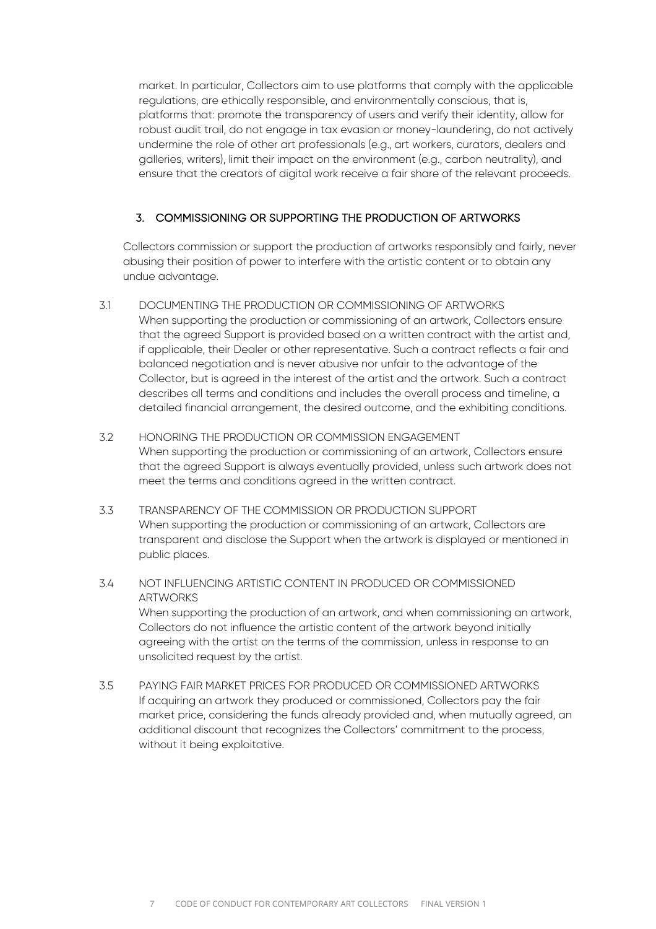market. In particular, Collectors aim to use platforms that comply with the applicable regulations, are ethically responsible, and environmentally conscious, that is, platforms that: promote the transparency of users and verify their identity, allow for robust audit trail, do not engage in tax evasion or money-laundering, do not actively undermine the role of other art professionals (e.g., art workers, curators, dealers and galleries, writers), limit their impact on the environment (e.g., carbon neutrality), and ensure that the creators of digital work receive a fair share of the relevant proceeds.

# 3. COMMISSIONING OR SUPPORTING THE PRODUCTION OF ARTWORKS

Collectors commission or support the production of artworks responsibly and fairly, never abusing their position of power to interfere with the artistic content or to obtain any undue advantage.

- 3.1 DOCUMENTING THE PRODUCTION OR COMMISSIONING OF ARTWORKS When supporting the production or commissioning of an artwork, Collectors ensure that the agreed Support is provided based on a written contract with the artist and, if applicable, their Dealer or other representative. Such a contract reflects a fair and balanced negotiation and is never abusive nor unfair to the advantage of the Collector, but is agreed in the interest of the artist and the artwork. Such a contract describes all terms and conditions and includes the overall process and timeline, a detailed financial arrangement, the desired outcome, and the exhibiting conditions.
- 3.2 HONORING THE PRODUCTION OR COMMISSION ENGAGEMENT When supporting the production or commissioning of an artwork, Collectors ensure that the agreed Support is always eventually provided, unless such artwork does not meet the terms and conditions agreed in the written contract.
- 3.3 TRANSPARENCY OF THE COMMISSION OR PRODUCTION SUPPORT When supporting the production or commissioning of an artwork, Collectors are transparent and disclose the Support when the artwork is displayed or mentioned in public places.
- 3.4 NOT INFLUENCING ARTISTIC CONTENT IN PRODUCED OR COMMISSIONED **ARTWORKS** When supporting the production of an artwork, and when commissioning an artwork, Collectors do not influence the artistic content of the artwork beyond initially agreeing with the artist on the terms of the commission, unless in response to an unsolicited request by the artist.
- 3.5 PAYING FAIR MARKET PRICES FOR PRODUCED OR COMMISSIONED ARTWORKS If acquiring an artwork they produced or commissioned, Collectors pay the fair market price, considering the funds already provided and, when mutually agreed, an additional discount that recognizes the Collectors' commitment to the process, without it being exploitative.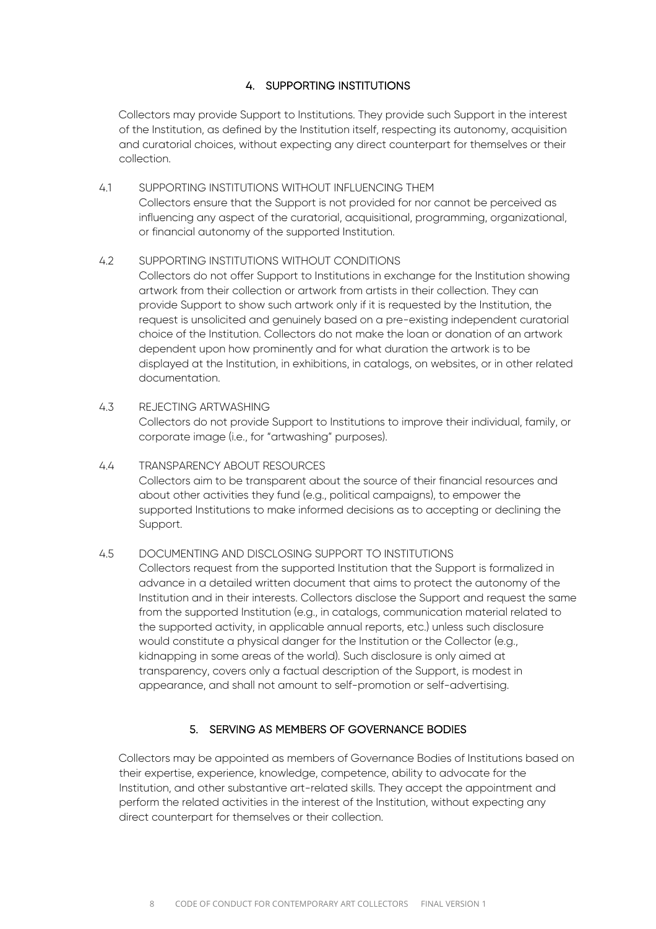# 4. SUPPORTING INSTITUTIONS

Collectors may provide Support to Institutions. They provide such Support in the interest of the Institution, as defined by the Institution itself, respecting its autonomy, acquisition and curatorial choices, without expecting any direct counterpart for themselves or their collection.

4.1 SUPPORTING INSTITUTIONS WITHOUT INFLUENCING THEM Collectors ensure that the Support is not provided for nor cannot be perceived as influencing any aspect of the curatorial, acquisitional, programming, organizational, or financial autonomy of the supported Institution.

#### 4.2 SUPPORTING INSTITUTIONS WITHOUT CONDITIONS

Collectors do not offer Support to Institutions in exchange for the Institution showing artwork from their collection or artwork from artists in their collection. They can provide Support to show such artwork only if it is requested by the Institution, the request is unsolicited and genuinely based on a pre-existing independent curatorial choice of the Institution. Collectors do not make the loan or donation of an artwork dependent upon how prominently and for what duration the artwork is to be displayed at the Institution, in exhibitions, in catalogs, on websites, or in other related documentation.

#### 4.3 REJECTING ARTWASHING

Collectors do not provide Support to Institutions to improve their individual, family, or corporate image (i.e., for "artwashing" purposes).

4.4 TRANSPARENCY ABOUT RESOURCES Collectors aim to be transparent about the source of their financial resources and about other activities they fund (e.g., political campaigns), to empower the supported Institutions to make informed decisions as to accepting or declining the Support.

#### 4.5 DOCUMENTING AND DISCLOSING SUPPORT TO INSTITUTIONS

Collectors request from the supported Institution that the Support is formalized in advance in a detailed written document that aims to protect the autonomy of the Institution and in their interests. Collectors disclose the Support and request the same from the supported Institution (e.g., in catalogs, communication material related to the supported activity, in applicable annual reports, etc.) unless such disclosure would constitute a physical danger for the Institution or the Collector (e.g., kidnapping in some areas of the world). Such disclosure is only aimed at transparency, covers only a factual description of the Support, is modest in appearance, and shall not amount to self-promotion or self-advertising.

# 5. SERVING AS MEMBERS OF GOVERNANCE BODIES

Collectors may be appointed as members of Governance Bodies of Institutions based on their expertise, experience, knowledge, competence, ability to advocate for the Institution, and other substantive art-related skills. They accept the appointment and perform the related activities in the interest of the Institution, without expecting any direct counterpart for themselves or their collection.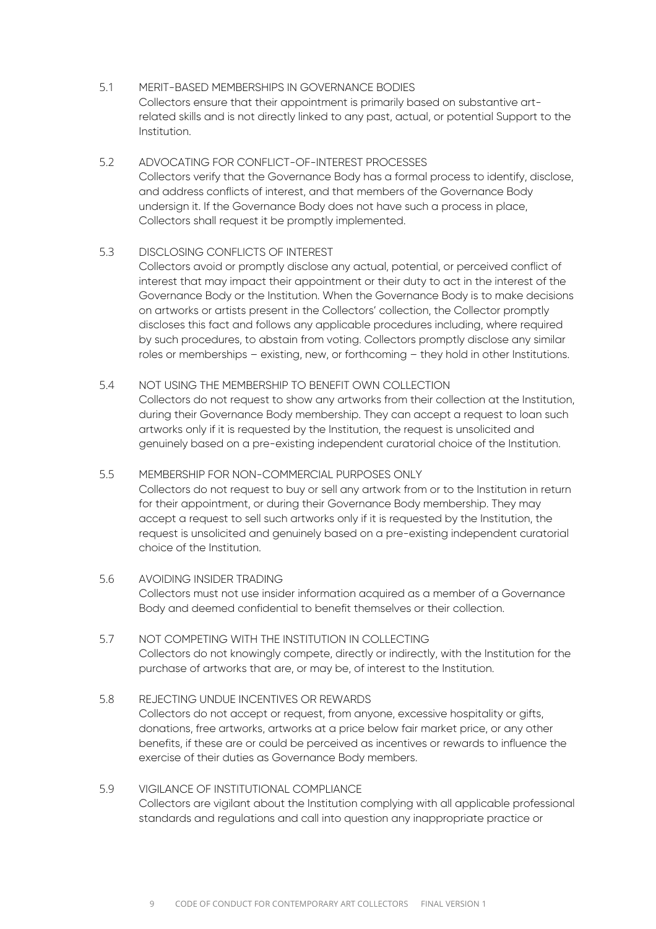- 5.1 MERIT-BASED MEMBERSHIPS IN GOVERNANCE BODIES Collectors ensure that their appointment is primarily based on substantive artrelated skills and is not directly linked to any past, actual, or potential Support to the Institution.
- 5.2 ADVOCATING FOR CONFLICT-OF-INTEREST PROCESSES Collectors verify that the Governance Body has a formal process to identify, disclose, and address conflicts of interest, and that members of the Governance Body undersign it. If the Governance Body does not have such a process in place, Collectors shall request it be promptly implemented.

#### 5.3 DISCLOSING CONFLICTS OF INTEREST

Collectors avoid or promptly disclose any actual, potential, or perceived conflict of interest that may impact their appointment or their duty to act in the interest of the Governance Body or the Institution. When the Governance Body is to make decisions on artworks or artists present in the Collectors' collection, the Collector promptly discloses this fact and follows any applicable procedures including, where required by such procedures, to abstain from voting. Collectors promptly disclose any similar roles or memberships – existing, new, or forthcoming – they hold in other Institutions.

#### 5.4 NOT USING THE MEMBERSHIP TO BENEFIT OWN COLLECTION

Collectors do not request to show any artworks from their collection at the Institution, during their Governance Body membership. They can accept a request to loan such artworks only if it is requested by the Institution, the request is unsolicited and genuinely based on a pre-existing independent curatorial choice of the Institution.

5.5 MEMBERSHIP FOR NON-COMMERCIAL PURPOSES ONLY Collectors do not request to buy or sell any artwork from or to the Institution in return for their appointment, or during their Governance Body membership. They may

accept a request to sell such artworks only if it is requested by the Institution, the request is unsolicited and genuinely based on a pre-existing independent curatorial choice of the Institution.

- 5.6 AVOIDING INSIDER TRADING Collectors must not use insider information acquired as a member of a Governance Body and deemed confidential to benefit themselves or their collection.
- 5.7 NOT COMPETING WITH THE INSTITUTION IN COLLECTING Collectors do not knowingly compete, directly or indirectly, with the Institution for the purchase of artworks that are, or may be, of interest to the Institution.
- 5.8 REJECTING UNDUE INCENTIVES OR REWARDS Collectors do not accept or request, from anyone, excessive hospitality or gifts, donations, free artworks, artworks at a price below fair market price, or any other benefits, if these are or could be perceived as incentives or rewards to influence the exercise of their duties as Governance Body members.
- 5.9 VIGILANCE OF INSTITUTIONAL COMPLIANCE Collectors are vigilant about the Institution complying with all applicable professional standards and regulations and call into question any inappropriate practice or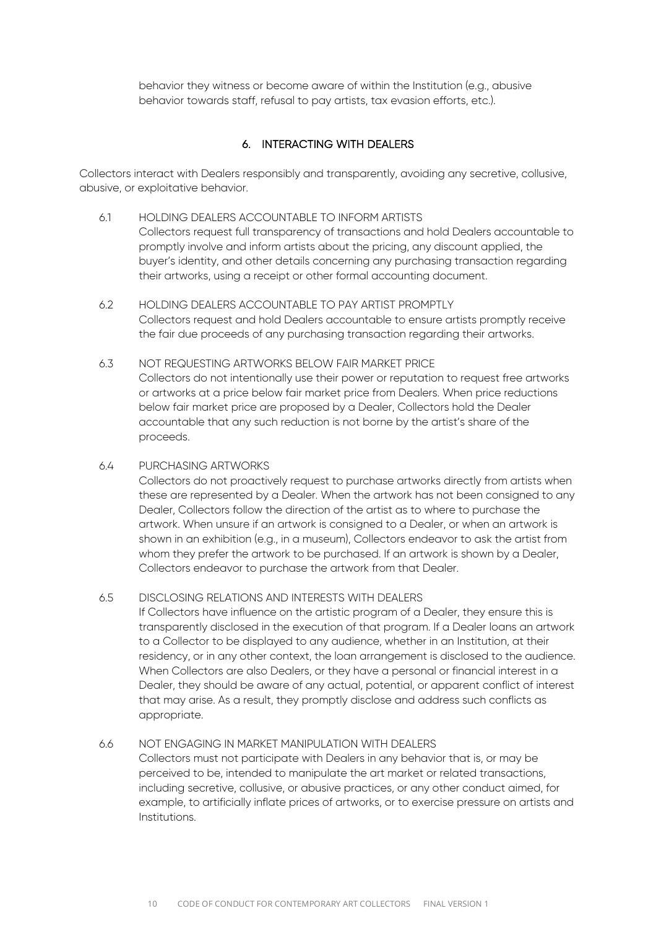behavior they witness or become aware of within the Institution (e.g., abusive behavior towards staff, refusal to pay artists, tax evasion efforts, etc.).

# 6. INTERACTING WITH DEALERS

Collectors interact with Dealers responsibly and transparently, avoiding any secretive, collusive, abusive, or exploitative behavior.

- 6.1 HOLDING DEALERS ACCOUNTABLE TO INFORM ARTISTS Collectors request full transparency of transactions and hold Dealers accountable to promptly involve and inform artists about the pricing, any discount applied, the buyer's identity, and other details concerning any purchasing transaction regarding their artworks, using a receipt or other formal accounting document.
- 6.2 HOLDING DEALERS ACCOUNTABLE TO PAY ARTIST PROMPTLY Collectors request and hold Dealers accountable to ensure artists promptly receive the fair due proceeds of any purchasing transaction regarding their artworks.
- 6.3 NOT REQUESTING ARTWORKS BELOW FAIR MARKET PRICE Collectors do not intentionally use their power or reputation to request free artworks or artworks at a price below fair market price from Dealers. When price reductions below fair market price are proposed by a Dealer, Collectors hold the Dealer accountable that any such reduction is not borne by the artist's share of the proceeds.

#### 6.4 PURCHASING ARTWORKS

Collectors do not proactively request to purchase artworks directly from artists when these are represented by a Dealer. When the artwork has not been consigned to any Dealer, Collectors follow the direction of the artist as to where to purchase the artwork. When unsure if an artwork is consigned to a Dealer, or when an artwork is shown in an exhibition (e.g., in a museum), Collectors endeavor to ask the artist from whom they prefer the artwork to be purchased. If an artwork is shown by a Dealer, Collectors endeavor to purchase the artwork from that Dealer.

#### 6.5 DISCLOSING RELATIONS AND INTERESTS WITH DEALERS

If Collectors have influence on the artistic program of a Dealer, they ensure this is transparently disclosed in the execution of that program. If a Dealer loans an artwork to a Collector to be displayed to any audience, whether in an Institution, at their residency, or in any other context, the loan arrangement is disclosed to the audience. When Collectors are also Dealers, or they have a personal or financial interest in a Dealer, they should be aware of any actual, potential, or apparent conflict of interest that may arise. As a result, they promptly disclose and address such conflicts as appropriate.

#### 6.6 NOT ENGAGING IN MARKET MANIPULATION WITH DEALERS

Collectors must not participate with Dealers in any behavior that is, or may be perceived to be, intended to manipulate the art market or related transactions, including secretive, collusive, or abusive practices, or any other conduct aimed, for example, to artificially inflate prices of artworks, or to exercise pressure on artists and Institutions.